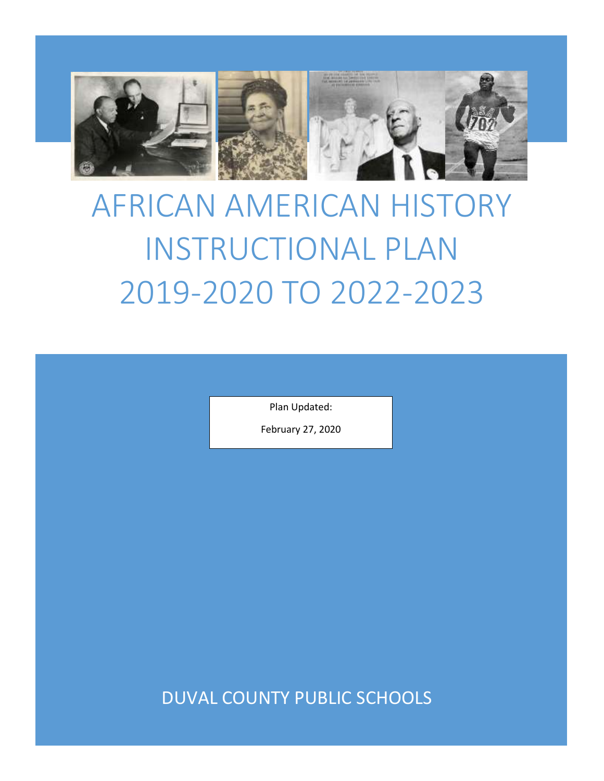

# AFRICAN AMERICAN HISTORY INSTRUCTIONAL PLAN 2019-2020 TO 2022-2023

Plan Updated:

February 27, 2020

DUVAL COUNTY PUBLIC SCHOOLS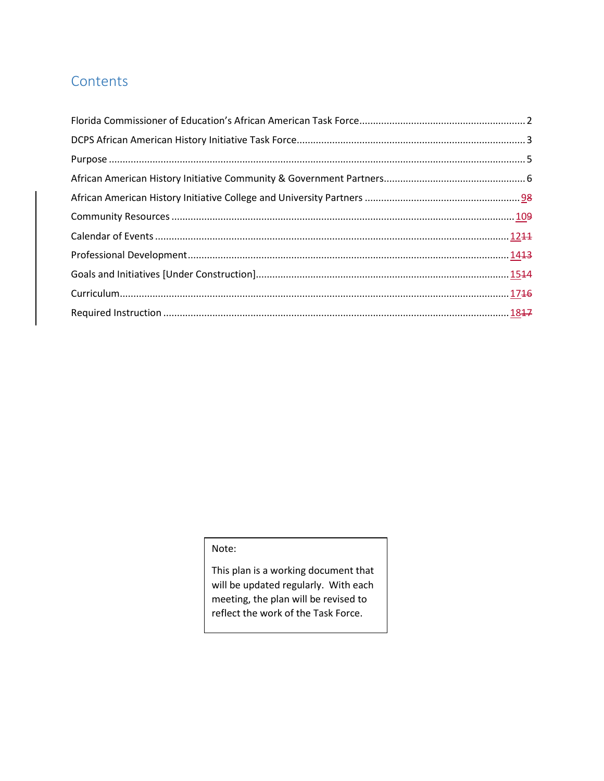## **Contents**

#### Note:

This plan is a working document that will be updated regularly. With each meeting, the plan will be revised to reflect the work of the Task Force.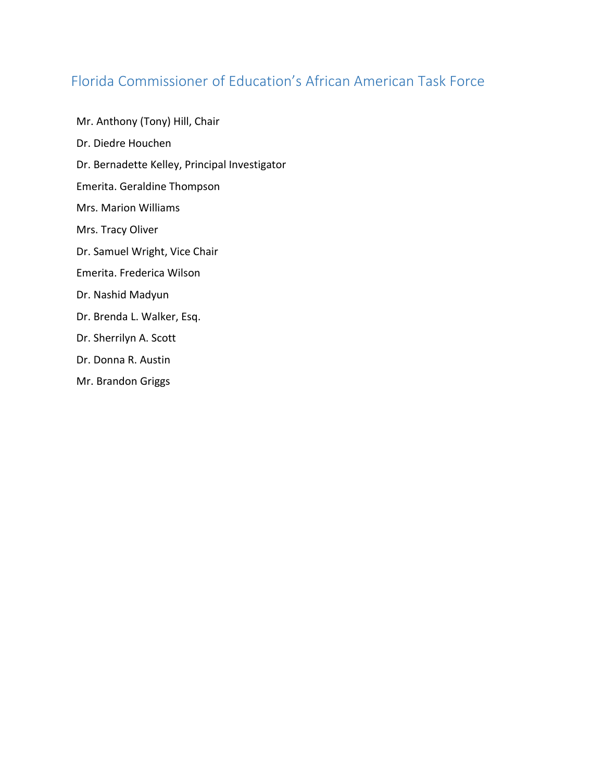## <span id="page-2-0"></span>Florida Commissioner of Education's African American Task Force

Mr. Anthony (Tony) Hill, Chair Dr. Diedre Houchen Dr. Bernadette Kelley, Principal Investigator Emerita. Geraldine Thompson Mrs. Marion Williams Mrs. Tracy Oliver Dr. Samuel Wright, Vice Chair Emerita. Frederica Wilson Dr. Nashid Madyun Dr. Brenda L. Walker, Esq. Dr. Sherrilyn A. Scott Dr. Donna R. Austin

Mr. Brandon Griggs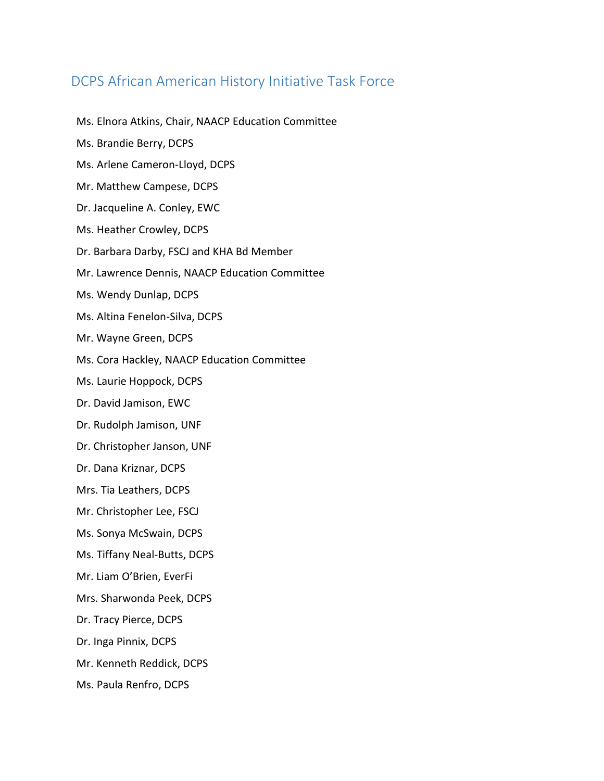## <span id="page-3-0"></span>DCPS African American History Initiative Task Force

Ms. Elnora Atkins, Chair, NAACP Education Committee Ms. Brandie Berry, DCPS Ms. Arlene Cameron-Lloyd, DCPS Mr. Matthew Campese, DCPS Dr. Jacqueline A. Conley, EWC Ms. Heather Crowley, DCPS Dr. Barbara Darby, FSCJ and KHA Bd Member Mr. Lawrence Dennis, NAACP Education Committee Ms. Wendy Dunlap, DCPS Ms. Altina Fenelon-Silva, DCPS Mr. Wayne Green, DCPS Ms. Cora Hackley, NAACP Education Committee Ms. Laurie Hoppock, DCPS Dr. David Jamison, EWC Dr. Rudolph Jamison, UNF Dr. Christopher Janson, UNF Dr. Dana Kriznar, DCPS Mrs. Tia Leathers, DCPS Mr. Christopher Lee, FSCJ Ms. Sonya McSwain, DCPS Ms. Tiffany Neal-Butts, DCPS Mr. Liam O'Brien, EverFi Mrs. Sharwonda Peek, DCPS Dr. Tracy Pierce, DCPS Dr. Inga Pinnix, DCPS Mr. Kenneth Reddick, DCPS Ms. Paula Renfro, DCPS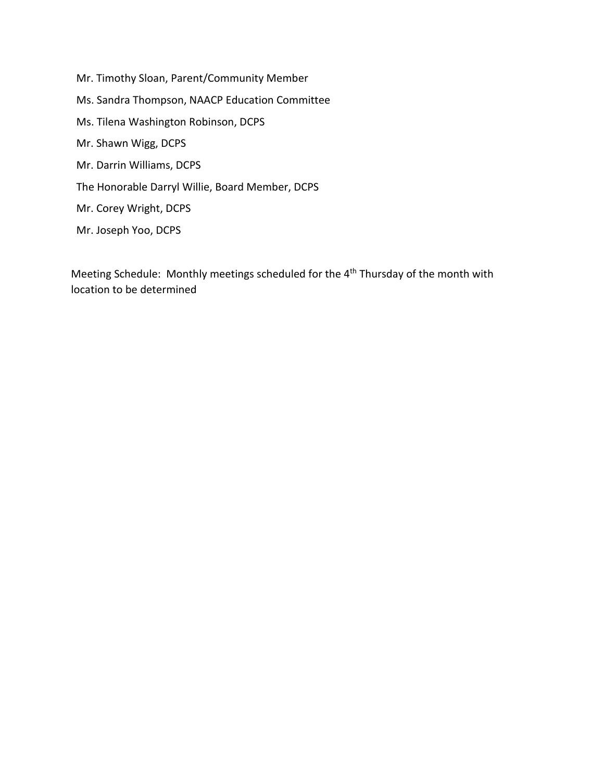Mr. Timothy Sloan, Parent/Community Member Ms. Sandra Thompson, NAACP Education Committee Ms. Tilena Washington Robinson, DCPS Mr. Shawn Wigg, DCPS Mr. Darrin Williams, DCPS The Honorable Darryl Willie, Board Member, DCPS Mr. Corey Wright, DCPS Mr. Joseph Yoo, DCPS

Meeting Schedule: Monthly meetings scheduled for the 4<sup>th</sup> Thursday of the month with location to be determined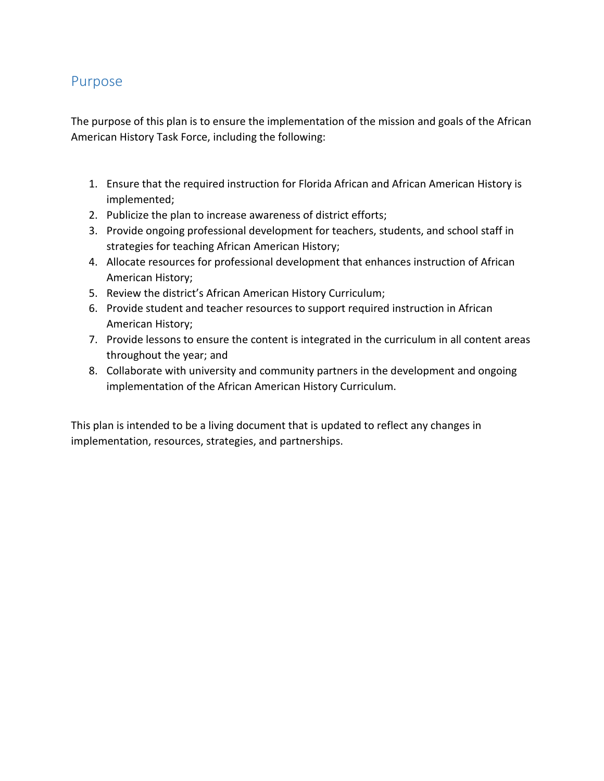### <span id="page-5-0"></span>Purpose

The purpose of this plan is to ensure the implementation of the mission and goals of the African American History Task Force, including the following:

- 1. Ensure that the required instruction for Florida African and African American History is implemented;
- 2. Publicize the plan to increase awareness of district efforts;
- 3. Provide ongoing professional development for teachers, students, and school staff in strategies for teaching African American History;
- 4. Allocate resources for professional development that enhances instruction of African American History;
- 5. Review the district's African American History Curriculum;
- 6. Provide student and teacher resources to support required instruction in African American History;
- 7. Provide lessons to ensure the content is integrated in the curriculum in all content areas throughout the year; and
- 8. Collaborate with university and community partners in the development and ongoing implementation of the African American History Curriculum.

This plan is intended to be a living document that is updated to reflect any changes in implementation, resources, strategies, and partnerships.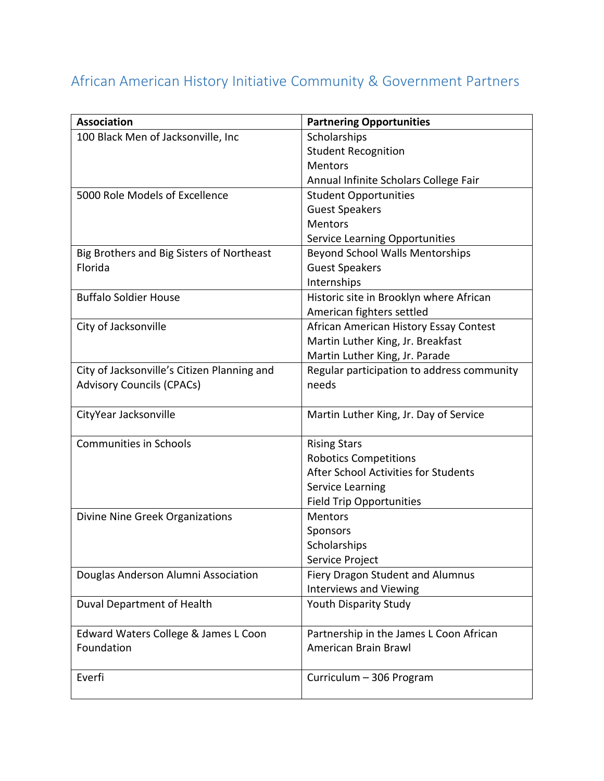# <span id="page-6-0"></span>African American History Initiative Community & Government Partners

| <b>Association</b>                          | <b>Partnering Opportunities</b>            |
|---------------------------------------------|--------------------------------------------|
| 100 Black Men of Jacksonville, Inc          | Scholarships                               |
|                                             | <b>Student Recognition</b>                 |
|                                             | <b>Mentors</b>                             |
|                                             | Annual Infinite Scholars College Fair      |
| 5000 Role Models of Excellence              | <b>Student Opportunities</b>               |
|                                             | <b>Guest Speakers</b>                      |
|                                             | Mentors                                    |
|                                             | <b>Service Learning Opportunities</b>      |
| Big Brothers and Big Sisters of Northeast   | <b>Beyond School Walls Mentorships</b>     |
| Florida                                     | <b>Guest Speakers</b>                      |
|                                             | Internships                                |
| <b>Buffalo Soldier House</b>                | Historic site in Brooklyn where African    |
|                                             | American fighters settled                  |
| City of Jacksonville                        | African American History Essay Contest     |
|                                             | Martin Luther King, Jr. Breakfast          |
|                                             | Martin Luther King, Jr. Parade             |
| City of Jacksonville's Citizen Planning and | Regular participation to address community |
| <b>Advisory Councils (CPACs)</b>            | needs                                      |
|                                             |                                            |
| CityYear Jacksonville                       | Martin Luther King, Jr. Day of Service     |
| <b>Communities in Schools</b>               | <b>Rising Stars</b>                        |
|                                             | <b>Robotics Competitions</b>               |
|                                             | After School Activities for Students       |
|                                             | Service Learning                           |
|                                             | <b>Field Trip Opportunities</b>            |
| Divine Nine Greek Organizations             | <b>Mentors</b>                             |
|                                             | Sponsors                                   |
|                                             | Scholarships                               |
|                                             | Service Project                            |
| Douglas Anderson Alumni Association         | Fiery Dragon Student and Alumnus           |
|                                             | <b>Interviews and Viewing</b>              |
| Duval Department of Health                  | Youth Disparity Study                      |
|                                             |                                            |
| Edward Waters College & James L Coon        | Partnership in the James L Coon African    |
| Foundation                                  | American Brain Brawl                       |
|                                             |                                            |
| Everfi                                      | Curriculum - 306 Program                   |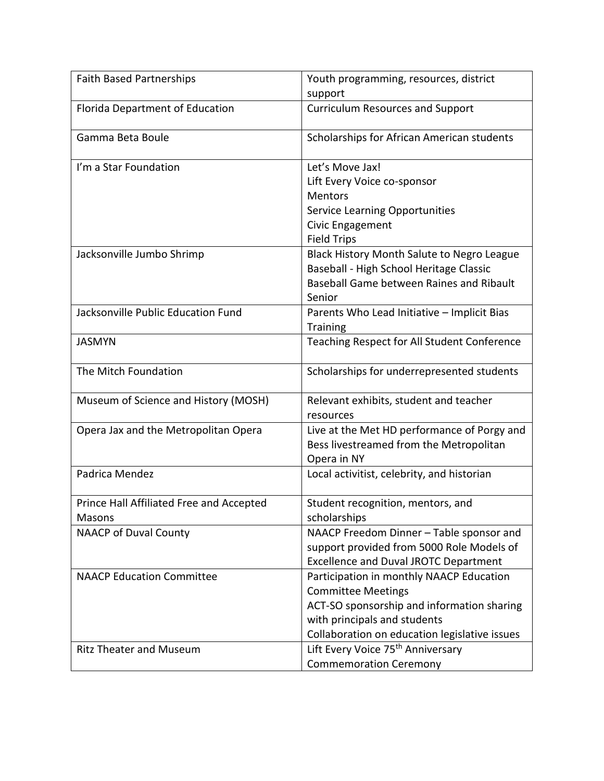| <b>Faith Based Partnerships</b>                    | Youth programming, resources, district<br>support                                                                                                                                                    |
|----------------------------------------------------|------------------------------------------------------------------------------------------------------------------------------------------------------------------------------------------------------|
| Florida Department of Education                    | <b>Curriculum Resources and Support</b>                                                                                                                                                              |
| Gamma Beta Boule                                   | Scholarships for African American students                                                                                                                                                           |
| I'm a Star Foundation                              | Let's Move Jax!<br>Lift Every Voice co-sponsor<br><b>Mentors</b><br><b>Service Learning Opportunities</b><br>Civic Engagement<br><b>Field Trips</b>                                                  |
| Jacksonville Jumbo Shrimp                          | <b>Black History Month Salute to Negro League</b><br>Baseball - High School Heritage Classic<br>Baseball Game between Raines and Ribault<br>Senior                                                   |
| Jacksonville Public Education Fund                 | Parents Who Lead Initiative - Implicit Bias<br><b>Training</b>                                                                                                                                       |
| <b>JASMYN</b>                                      | Teaching Respect for All Student Conference                                                                                                                                                          |
| The Mitch Foundation                               | Scholarships for underrepresented students                                                                                                                                                           |
| Museum of Science and History (MOSH)               | Relevant exhibits, student and teacher<br>resources                                                                                                                                                  |
| Opera Jax and the Metropolitan Opera               | Live at the Met HD performance of Porgy and<br>Bess livestreamed from the Metropolitan<br>Opera in NY                                                                                                |
| Padrica Mendez                                     | Local activitist, celebrity, and historian                                                                                                                                                           |
| Prince Hall Affiliated Free and Accepted<br>Masons | Student recognition, mentors, and<br>scholarships                                                                                                                                                    |
| <b>NAACP of Duval County</b>                       | NAACP Freedom Dinner - Table sponsor and<br>support provided from 5000 Role Models of<br><b>Excellence and Duval JROTC Department</b>                                                                |
| <b>NAACP Education Committee</b>                   | Participation in monthly NAACP Education<br><b>Committee Meetings</b><br>ACT-SO sponsorship and information sharing<br>with principals and students<br>Collaboration on education legislative issues |
| <b>Ritz Theater and Museum</b>                     | Lift Every Voice 75 <sup>th</sup> Anniversary<br><b>Commemoration Ceremony</b>                                                                                                                       |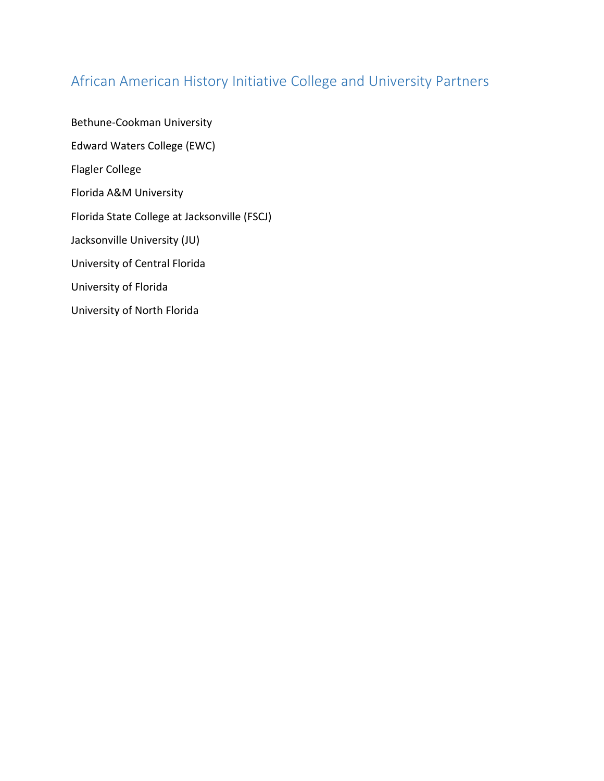## <span id="page-9-0"></span>African American History Initiative College and University Partners

Bethune-Cookman University Edward Waters College (EWC) Flagler College Florida A&M University Florida State College at Jacksonville (FSCJ) Jacksonville University (JU) University of Central Florida University of Florida University of North Florida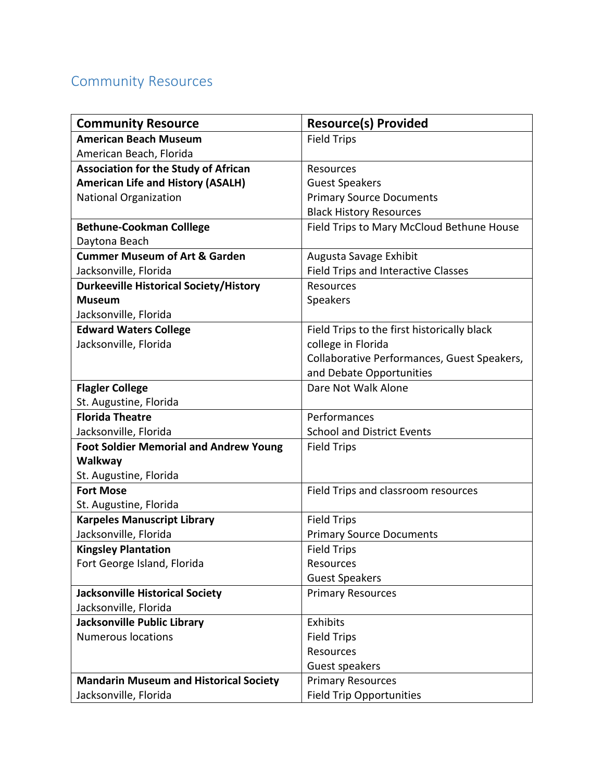## <span id="page-10-0"></span>Community Resources

| <b>Community Resource</b>                     | <b>Resource(s) Provided</b>                 |
|-----------------------------------------------|---------------------------------------------|
| <b>American Beach Museum</b>                  | <b>Field Trips</b>                          |
| American Beach, Florida                       |                                             |
| <b>Association for the Study of African</b>   | Resources                                   |
| <b>American Life and History (ASALH)</b>      | <b>Guest Speakers</b>                       |
| <b>National Organization</b>                  | <b>Primary Source Documents</b>             |
|                                               | <b>Black History Resources</b>              |
| <b>Bethune-Cookman Colllege</b>               | Field Trips to Mary McCloud Bethune House   |
| Daytona Beach                                 |                                             |
| <b>Cummer Museum of Art &amp; Garden</b>      | Augusta Savage Exhibit                      |
| Jacksonville, Florida                         | <b>Field Trips and Interactive Classes</b>  |
| <b>Durkeeville Historical Society/History</b> | Resources                                   |
| <b>Museum</b>                                 | Speakers                                    |
| Jacksonville, Florida                         |                                             |
| <b>Edward Waters College</b>                  | Field Trips to the first historically black |
| Jacksonville, Florida                         | college in Florida                          |
|                                               | Collaborative Performances, Guest Speakers, |
|                                               | and Debate Opportunities                    |
| <b>Flagler College</b>                        | Dare Not Walk Alone                         |
| St. Augustine, Florida                        |                                             |
| <b>Florida Theatre</b>                        | Performances                                |
| Jacksonville, Florida                         | <b>School and District Events</b>           |
| <b>Foot Soldier Memorial and Andrew Young</b> | <b>Field Trips</b>                          |
| Walkway                                       |                                             |
| St. Augustine, Florida                        |                                             |
| <b>Fort Mose</b>                              | Field Trips and classroom resources         |
| St. Augustine, Florida                        |                                             |
| <b>Karpeles Manuscript Library</b>            | <b>Field Trips</b>                          |
| Jacksonville, Florida                         | <b>Primary Source Documents</b>             |
| <b>Kingsley Plantation</b>                    | <b>Field Trips</b>                          |
| Fort George Island, Florida                   | Resources                                   |
|                                               | <b>Guest Speakers</b>                       |
| <b>Jacksonville Historical Society</b>        | <b>Primary Resources</b>                    |
| Jacksonville, Florida                         |                                             |
| Jacksonville Public Library                   | Exhibits                                    |
| <b>Numerous locations</b>                     | <b>Field Trips</b>                          |
|                                               | Resources                                   |
|                                               | Guest speakers                              |
| <b>Mandarin Museum and Historical Society</b> | <b>Primary Resources</b>                    |
| Jacksonville, Florida                         | <b>Field Trip Opportunities</b>             |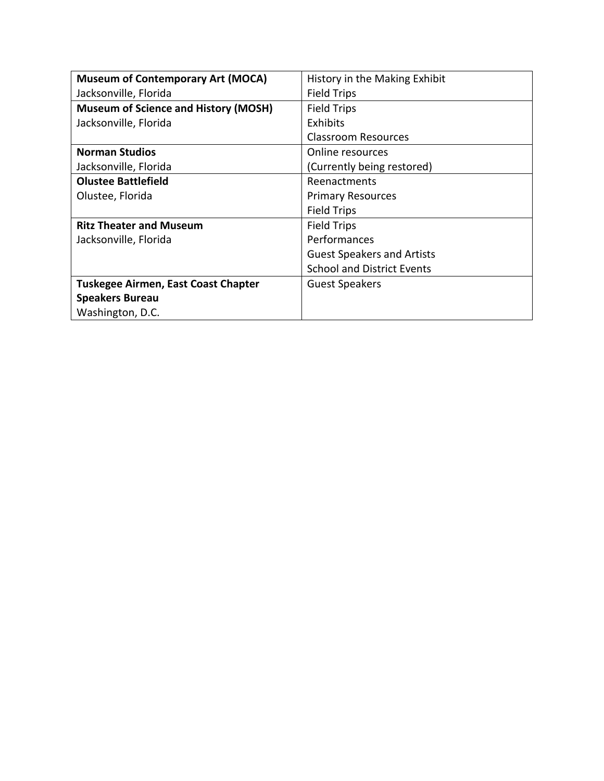| <b>Museum of Contemporary Art (MOCA)</b>    | History in the Making Exhibit     |
|---------------------------------------------|-----------------------------------|
| Jacksonville, Florida                       | <b>Field Trips</b>                |
| <b>Museum of Science and History (MOSH)</b> | <b>Field Trips</b>                |
| Jacksonville, Florida                       | Exhibits                          |
|                                             | Classroom Resources               |
| <b>Norman Studios</b>                       | Online resources                  |
| Jacksonville, Florida                       | (Currently being restored)        |
| <b>Olustee Battlefield</b>                  | Reenactments                      |
| Olustee, Florida                            | <b>Primary Resources</b>          |
|                                             | <b>Field Trips</b>                |
| <b>Ritz Theater and Museum</b>              | <b>Field Trips</b>                |
| Jacksonville, Florida                       | Performances                      |
|                                             | <b>Guest Speakers and Artists</b> |
|                                             | <b>School and District Events</b> |
| Tuskegee Airmen, East Coast Chapter         | <b>Guest Speakers</b>             |
| <b>Speakers Bureau</b>                      |                                   |
| Washington, D.C.                            |                                   |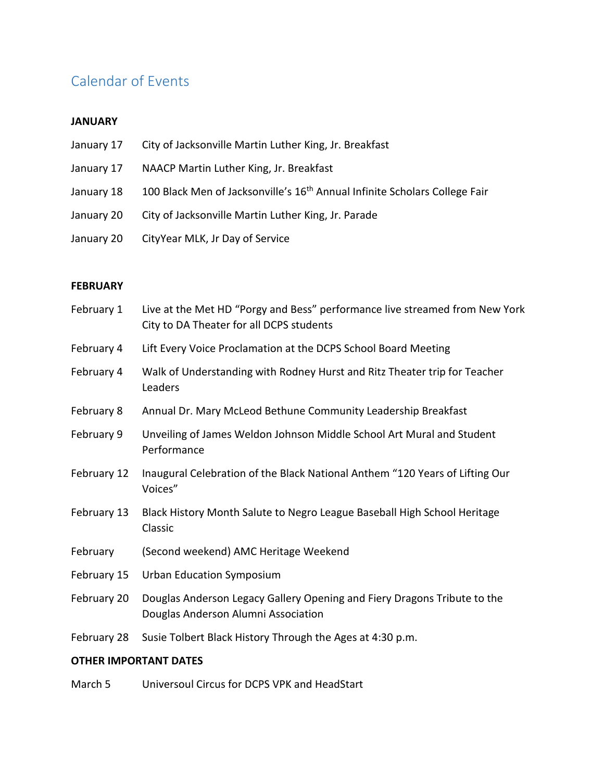## <span id="page-12-0"></span>Calendar of Events

#### **JANUARY**

- January 17 City of Jacksonville Martin Luther King, Jr. Breakfast
- January 17 NAACP Martin Luther King, Jr. Breakfast
- January 18 100 Black Men of Jacksonville's 16<sup>th</sup> Annual Infinite Scholars College Fair
- January 20 City of Jacksonville Martin Luther King, Jr. Parade
- January 20 CityYear MLK, Jr Day of Service

#### **FEBRUARY**

| February 1  | Live at the Met HD "Porgy and Bess" performance live streamed from New York<br>City to DA Theater for all DCPS students |
|-------------|-------------------------------------------------------------------------------------------------------------------------|
| February 4  | Lift Every Voice Proclamation at the DCPS School Board Meeting                                                          |
| February 4  | Walk of Understanding with Rodney Hurst and Ritz Theater trip for Teacher<br>Leaders                                    |
| February 8  | Annual Dr. Mary McLeod Bethune Community Leadership Breakfast                                                           |
| February 9  | Unveiling of James Weldon Johnson Middle School Art Mural and Student<br>Performance                                    |
| February 12 | Inaugural Celebration of the Black National Anthem "120 Years of Lifting Our<br>Voices"                                 |
| February 13 | Black History Month Salute to Negro League Baseball High School Heritage<br>Classic                                     |
| February    | (Second weekend) AMC Heritage Weekend                                                                                   |
| February 15 | <b>Urban Education Symposium</b>                                                                                        |
| February 20 | Douglas Anderson Legacy Gallery Opening and Fiery Dragons Tribute to the<br>Douglas Anderson Alumni Association         |
| February 28 | Susie Tolbert Black History Through the Ages at 4:30 p.m.                                                               |

#### **OTHER IMPORTANT DATES**

March 5 Universoul Circus for DCPS VPK and HeadStart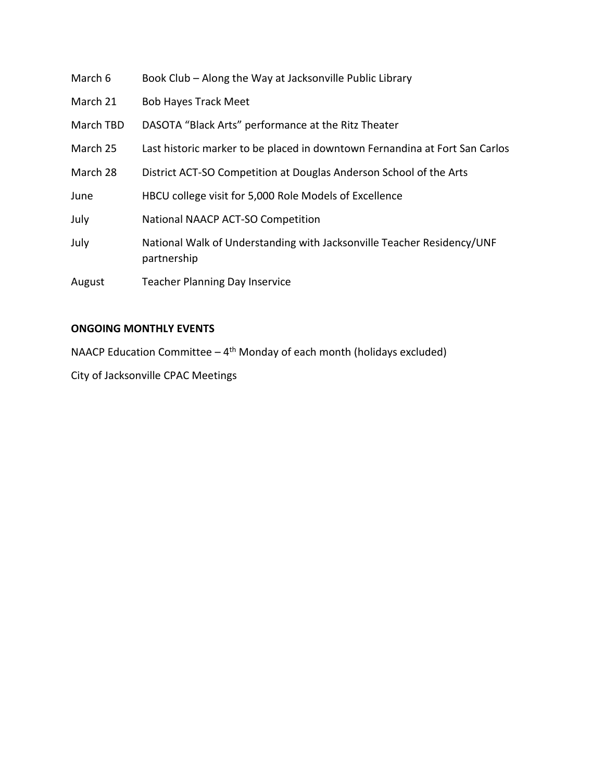| March 6   | Book Club - Along the Way at Jacksonville Public Library                              |
|-----------|---------------------------------------------------------------------------------------|
| March 21  | <b>Bob Hayes Track Meet</b>                                                           |
| March TBD | DASOTA "Black Arts" performance at the Ritz Theater                                   |
| March 25  | Last historic marker to be placed in downtown Fernandina at Fort San Carlos           |
| March 28  | District ACT-SO Competition at Douglas Anderson School of the Arts                    |
| June      | HBCU college visit for 5,000 Role Models of Excellence                                |
| July      | National NAACP ACT-SO Competition                                                     |
| July      | National Walk of Understanding with Jacksonville Teacher Residency/UNF<br>partnership |
| August    | <b>Teacher Planning Day Inservice</b>                                                 |
|           |                                                                                       |

#### **ONGOING MONTHLY EVENTS**

NAACP Education Committee  $-4$ <sup>th</sup> Monday of each month (holidays excluded)

City of Jacksonville CPAC Meetings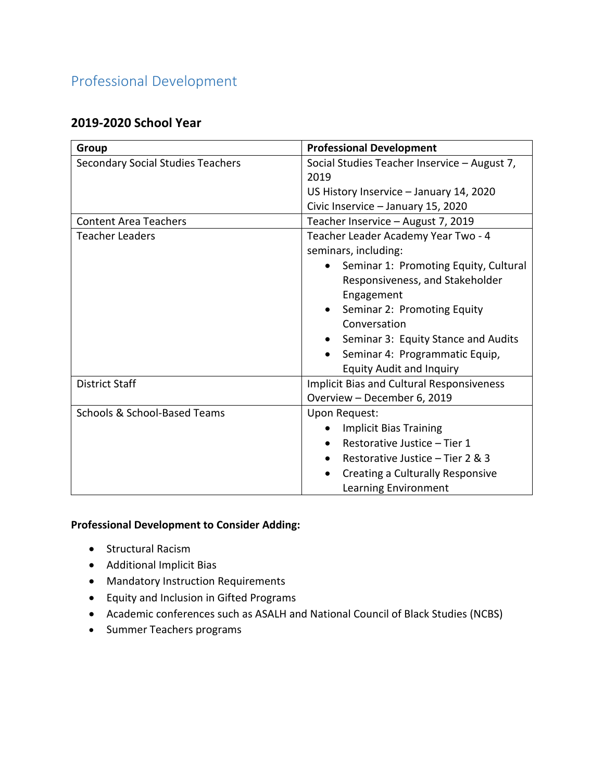## <span id="page-14-0"></span>Professional Development

#### **2019-2020 School Year**

| Group                                    | <b>Professional Development</b>                    |
|------------------------------------------|----------------------------------------------------|
| <b>Secondary Social Studies Teachers</b> | Social Studies Teacher Inservice - August 7,       |
|                                          | 2019                                               |
|                                          | US History Inservice - January 14, 2020            |
|                                          | Civic Inservice - January 15, 2020                 |
| <b>Content Area Teachers</b>             | Teacher Inservice - August 7, 2019                 |
| <b>Teacher Leaders</b>                   | Teacher Leader Academy Year Two - 4                |
|                                          | seminars, including:                               |
|                                          | Seminar 1: Promoting Equity, Cultural<br>$\bullet$ |
|                                          | Responsiveness, and Stakeholder                    |
|                                          | Engagement                                         |
|                                          | Seminar 2: Promoting Equity<br>$\bullet$           |
|                                          | Conversation                                       |
|                                          | Seminar 3: Equity Stance and Audits                |
|                                          | Seminar 4: Programmatic Equip,                     |
|                                          | <b>Equity Audit and Inquiry</b>                    |
| <b>District Staff</b>                    | <b>Implicit Bias and Cultural Responsiveness</b>   |
|                                          | Overview - December 6, 2019                        |
| Schools & School-Based Teams             | Upon Request:                                      |
|                                          | <b>Implicit Bias Training</b>                      |
|                                          | Restorative Justice - Tier 1<br>$\bullet$          |
|                                          | Restorative Justice - Tier 2 & 3                   |
|                                          | Creating a Culturally Responsive<br>$\bullet$      |
|                                          | Learning Environment                               |

#### **Professional Development to Consider Adding:**

- Structural Racism
- Additional Implicit Bias
- Mandatory Instruction Requirements
- Equity and Inclusion in Gifted Programs
- Academic conferences such as ASALH and National Council of Black Studies (NCBS)
- Summer Teachers programs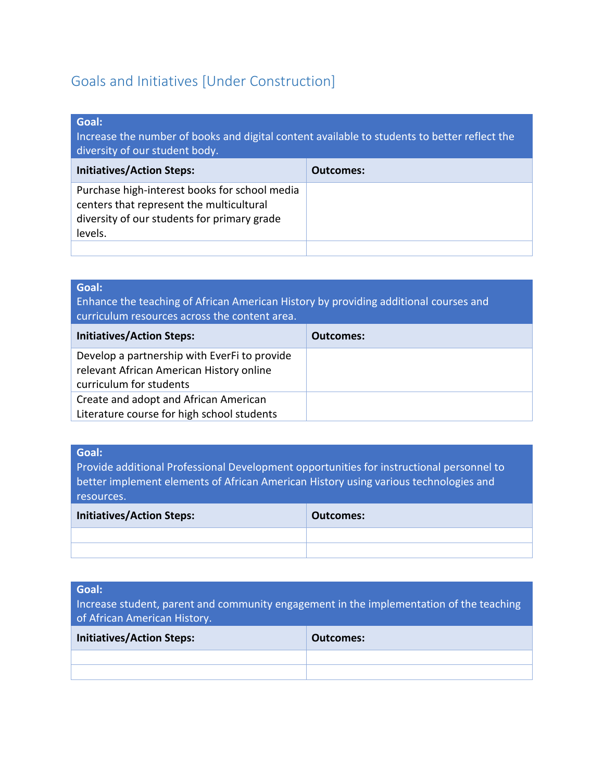## <span id="page-15-0"></span>Goals and Initiatives [Under Construction]

#### **Goal:**

Increase the number of books and digital content available to students to better reflect the diversity of our student body.

| <b>Initiatives/Action Steps:</b>                                                                                                                    | <b>Outcomes:</b> |
|-----------------------------------------------------------------------------------------------------------------------------------------------------|------------------|
| Purchase high-interest books for school media<br>centers that represent the multicultural<br>diversity of our students for primary grade<br>levels. |                  |
|                                                                                                                                                     |                  |

| Goal:<br>Enhance the teaching of African American History by providing additional courses and<br>curriculum resources across the content area. |                  |
|------------------------------------------------------------------------------------------------------------------------------------------------|------------------|
| <b>Initiatives/Action Steps:</b>                                                                                                               | <b>Outcomes:</b> |
| Develop a partnership with EverFi to provide<br>relevant African American History online<br>curriculum for students                            |                  |
| Create and adopt and African American<br>Literature course for high school students                                                            |                  |

#### **Goal:**

Provide additional Professional Development opportunities for instructional personnel to better implement elements of African American History using various technologies and resources.

| <b>Initiatives/Action Steps:</b> | Outcomes: |
|----------------------------------|-----------|
|                                  |           |
|                                  |           |

#### **Goal:**

Increase student, parent and community engagement in the implementation of the teaching of African American History.

| <b>Initiatives/Action Steps:</b> | <b>Outcomes:</b> |
|----------------------------------|------------------|
|                                  |                  |
|                                  |                  |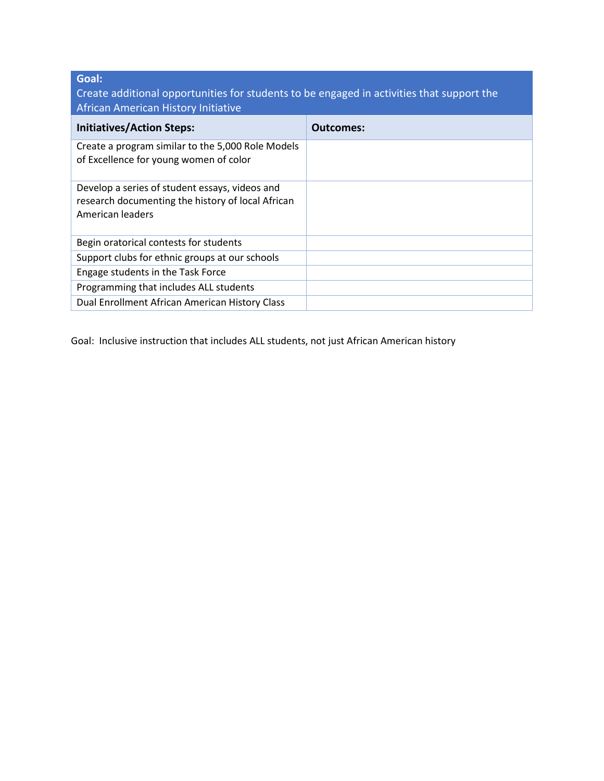**Goal:** 

Create additional opportunities for students to be engaged in activities that support the African American History Initiative

| <b>Initiatives/Action Steps:</b>                                                                                        | Outcomes: |
|-------------------------------------------------------------------------------------------------------------------------|-----------|
| Create a program similar to the 5,000 Role Models<br>of Excellence for young women of color                             |           |
| Develop a series of student essays, videos and<br>research documenting the history of local African<br>American leaders |           |
| Begin oratorical contests for students                                                                                  |           |
| Support clubs for ethnic groups at our schools                                                                          |           |
| Engage students in the Task Force                                                                                       |           |
| Programming that includes ALL students                                                                                  |           |
| Dual Enrollment African American History Class                                                                          |           |

Goal: Inclusive instruction that includes ALL students, not just African American history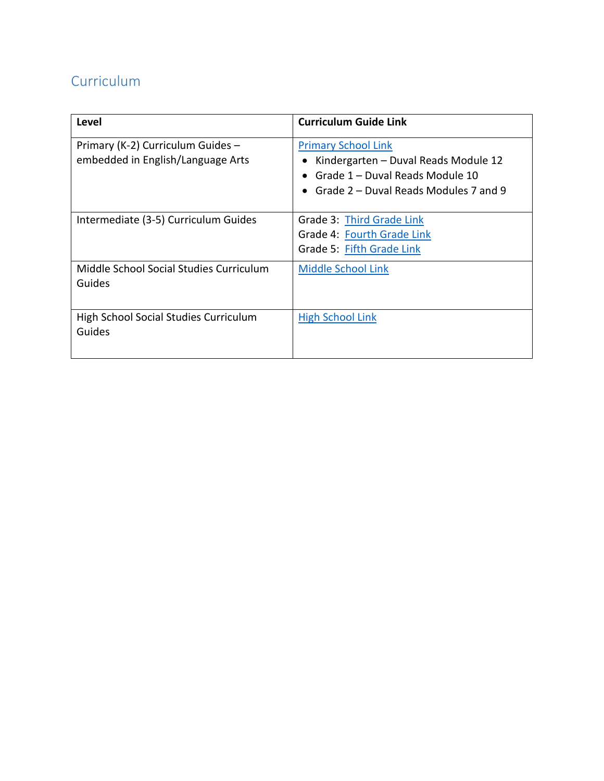## <span id="page-17-0"></span>Curriculum

| Level                                                                  | <b>Curriculum Guide Link</b>                                                                                                                   |
|------------------------------------------------------------------------|------------------------------------------------------------------------------------------------------------------------------------------------|
| Primary (K-2) Curriculum Guides -<br>embedded in English/Language Arts | <b>Primary School Link</b><br>Kindergarten - Duval Reads Module 12<br>Grade 1 - Duval Reads Module 10<br>Grade 2 – Duval Reads Modules 7 and 9 |
| Intermediate (3-5) Curriculum Guides                                   | Grade 3: Third Grade Link<br>Grade 4: Fourth Grade Link<br>Grade 5: Fifth Grade Link                                                           |
| Middle School Social Studies Curriculum<br>Guides                      | <b>Middle School Link</b>                                                                                                                      |
| High School Social Studies Curriculum<br>Guides                        | <b>High School Link</b>                                                                                                                        |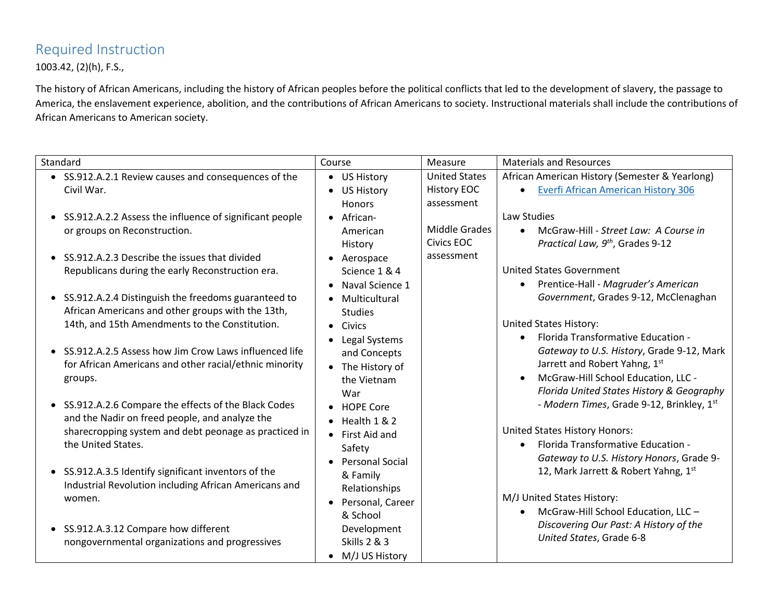## Required Instruction

1003.42, (2)(h), F.S.,

The history of African Americans, including the history of African peoples before the political conflicts that led to the development of slavery, the passage to America, the enslavement experience, abolition, and the contributions of African Americans to society. Instructional materials shall include the contributions of African Americans to American society.

<span id="page-18-0"></span>

| Standard                                                                                                | Course                                 | Measure              | <b>Materials and Resources</b>                                                         |
|---------------------------------------------------------------------------------------------------------|----------------------------------------|----------------------|----------------------------------------------------------------------------------------|
| • SS.912.A.2.1 Review causes and consequences of the                                                    | • US History                           | <b>United States</b> | African American History (Semester & Yearlong)                                         |
| Civil War.                                                                                              | <b>US History</b><br>$\bullet$         | <b>History EOC</b>   | <b>Everfi African American History 306</b>                                             |
|                                                                                                         | <b>Honors</b>                          | assessment           |                                                                                        |
| • SS.912.A.2.2 Assess the influence of significant people                                               | • African-                             |                      | Law Studies                                                                            |
| or groups on Reconstruction.                                                                            | American                               | Middle Grades        | McGraw-Hill - Street Law: A Course in<br>$\bullet$                                     |
|                                                                                                         | History                                | Civics EOC           | Practical Law, 9 <sup>th</sup> , Grades 9-12                                           |
| • SS.912.A.2.3 Describe the issues that divided                                                         | • Aerospace                            | assessment           |                                                                                        |
| Republicans during the early Reconstruction era.                                                        | Science 1 & 4                          |                      | <b>United States Government</b>                                                        |
|                                                                                                         | Naval Science 1                        |                      | Prentice-Hall - Magruder's American<br>$\bullet$                                       |
| • SS.912.A.2.4 Distinguish the freedoms guaranteed to                                                   | Multicultural<br>$\bullet$             |                      | Government, Grades 9-12, McClenaghan                                                   |
| African Americans and other groups with the 13th,                                                       | <b>Studies</b>                         |                      |                                                                                        |
| 14th, and 15th Amendments to the Constitution.                                                          | • Civics                               |                      | <b>United States History:</b>                                                          |
|                                                                                                         | Legal Systems<br>$\bullet$             |                      | Florida Transformative Education -<br>$\bullet$                                        |
| • SS.912.A.2.5 Assess how Jim Crow Laws influenced life                                                 | and Concepts                           |                      | Gateway to U.S. History, Grade 9-12, Mark                                              |
| for African Americans and other racial/ethnic minority                                                  | The History of<br>$\bullet$            |                      | Jarrett and Robert Yahng, 1st                                                          |
| groups.                                                                                                 | the Vietnam                            |                      | McGraw-Hill School Education, LLC -                                                    |
|                                                                                                         | War                                    |                      | Florida United States History & Geography<br>- Modern Times, Grade 9-12, Brinkley, 1st |
| • SS.912.A.2.6 Compare the effects of the Black Codes                                                   | • HOPE Core                            |                      |                                                                                        |
| and the Nadir on freed people, and analyze the<br>sharecropping system and debt peonage as practiced in | Health 1 & 2                           |                      | United States History Honors:                                                          |
| the United States.                                                                                      | • First Aid and                        |                      | Florida Transformative Education -<br>$\bullet$                                        |
|                                                                                                         | Safety                                 |                      | Gateway to U.S. History Honors, Grade 9-                                               |
| • SS.912.A.3.5 Identify significant inventors of the                                                    | • Personal Social                      |                      | 12, Mark Jarrett & Robert Yahng, 1st                                                   |
| Industrial Revolution including African Americans and                                                   | & Family                               |                      |                                                                                        |
| women.                                                                                                  | Relationships                          |                      | M/J United States History:                                                             |
|                                                                                                         | Personal, Career                       |                      | McGraw-Hill School Education, LLC-<br>$\bullet$                                        |
|                                                                                                         | & School                               |                      | Discovering Our Past: A History of the                                                 |
| • SS.912.A.3.12 Compare how different                                                                   | Development<br><b>Skills 2 &amp; 3</b> |                      | United States, Grade 6-8                                                               |
| nongovernmental organizations and progressives                                                          |                                        |                      |                                                                                        |
|                                                                                                         | M/J US History                         |                      |                                                                                        |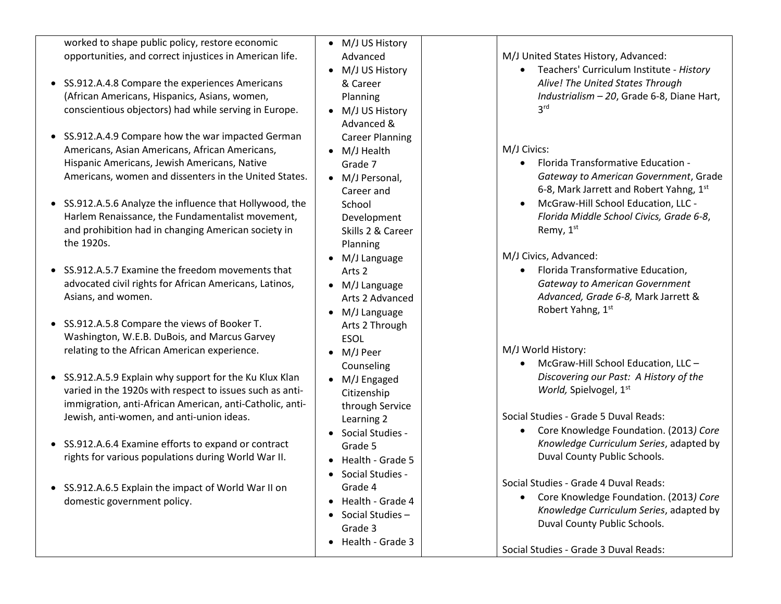| worked to shape public policy, restore economic<br>opportunities, and correct injustices in American life. | • M/J US History<br>Advanced  | M/J United States History, Advanced:                                    |
|------------------------------------------------------------------------------------------------------------|-------------------------------|-------------------------------------------------------------------------|
|                                                                                                            | • M/J US History              | Teachers' Curriculum Institute - History                                |
| • SS.912.A.4.8 Compare the experiences Americans                                                           | & Career                      | Alive! The United States Through                                        |
| (African Americans, Hispanics, Asians, women,                                                              | Planning                      | Industrialism - 20, Grade 6-8, Diane Hart,                              |
| conscientious objectors) had while serving in Europe.                                                      | M/J US History                | 3 <sup>rd</sup>                                                         |
|                                                                                                            | Advanced &                    |                                                                         |
| • SS.912.A.4.9 Compare how the war impacted German                                                         | <b>Career Planning</b>        |                                                                         |
| Americans, Asian Americans, African Americans,                                                             | M/J Health                    | M/J Civics:                                                             |
| Hispanic Americans, Jewish Americans, Native                                                               | Grade 7                       | Florida Transformative Education -                                      |
| Americans, women and dissenters in the United States.                                                      | • M/J Personal,               | Gateway to American Government, Grade                                   |
|                                                                                                            | Career and                    | 6-8, Mark Jarrett and Robert Yahng, 1st                                 |
| • SS.912.A.5.6 Analyze the influence that Hollywood, the                                                   | School                        | McGraw-Hill School Education, LLC -                                     |
| Harlem Renaissance, the Fundamentalist movement,                                                           | Development                   | Florida Middle School Civics, Grade 6-8,                                |
| and prohibition had in changing American society in                                                        | Skills 2 & Career             | Remy, 1 <sup>st</sup>                                                   |
| the 1920s.                                                                                                 | Planning                      |                                                                         |
|                                                                                                            | M/J Language                  | M/J Civics, Advanced:                                                   |
| SS.912.A.5.7 Examine the freedom movements that                                                            | Arts <sub>2</sub>             | Florida Transformative Education,                                       |
| advocated civil rights for African Americans, Latinos,                                                     | M/J Language<br>$\bullet$     | <b>Gateway to American Government</b>                                   |
| Asians, and women.                                                                                         | Arts 2 Advanced               | Advanced, Grade 6-8, Mark Jarrett &                                     |
|                                                                                                            | M/J Language<br>$\bullet$     | Robert Yahng, 1st                                                       |
| • SS.912.A.5.8 Compare the views of Booker T.                                                              | Arts 2 Through                |                                                                         |
| Washington, W.E.B. DuBois, and Marcus Garvey                                                               | <b>ESOL</b>                   |                                                                         |
| relating to the African American experience.                                                               | M/J Peer                      | M/J World History:                                                      |
|                                                                                                            | Counseling                    | McGraw-Hill School Education, LLC -                                     |
| • SS.912.A.5.9 Explain why support for the Ku Klux Klan                                                    | M/J Engaged<br>$\bullet$      | Discovering our Past: A History of the                                  |
| varied in the 1920s with respect to issues such as anti-                                                   | Citizenship                   | World, Spielvogel, 1st                                                  |
| immigration, anti-African American, anti-Catholic, anti-                                                   | through Service               |                                                                         |
| Jewish, anti-women, and anti-union ideas.                                                                  | Learning 2                    | Social Studies - Grade 5 Duval Reads:                                   |
|                                                                                                            | Social Studies -              | Core Knowledge Foundation. (2013) Core                                  |
| • SS.912.A.6.4 Examine efforts to expand or contract                                                       | Grade 5                       | Knowledge Curriculum Series, adapted by<br>Duval County Public Schools. |
| rights for various populations during World War II.                                                        | Health - Grade 5              |                                                                         |
|                                                                                                            | Social Studies -              | Social Studies - Grade 4 Duval Reads:                                   |
| • SS.912.A.6.5 Explain the impact of World War II on                                                       | Grade 4                       | Core Knowledge Foundation. (2013) Core                                  |
| domestic government policy.                                                                                | Health - Grade 4<br>$\bullet$ | Knowledge Curriculum Series, adapted by                                 |
|                                                                                                            | Social Studies -<br>$\bullet$ | Duval County Public Schools.                                            |
|                                                                                                            | Grade 3                       |                                                                         |
|                                                                                                            | Health - Grade 3<br>$\bullet$ | Social Studies - Grade 3 Duval Reads:                                   |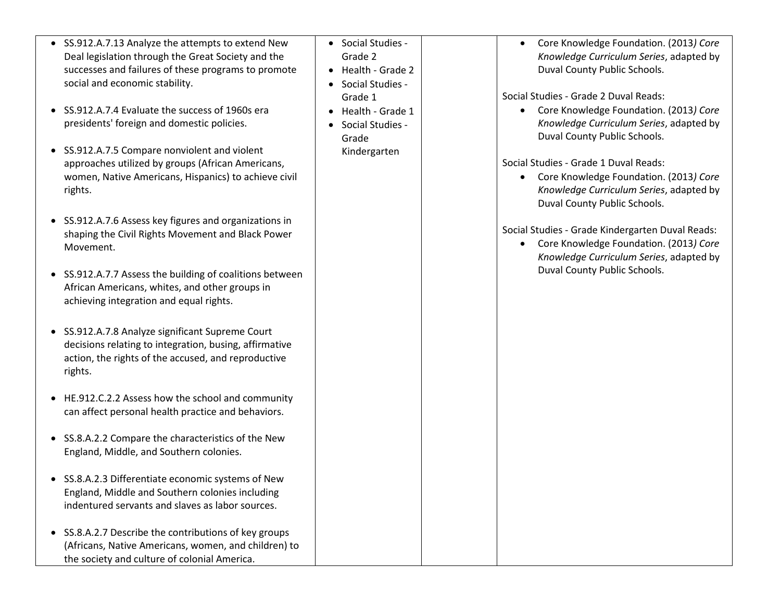- SS.912.A.7.13 Analyze the attempts to extend New Deal legislation through the Great Society and the successes and failures of these programs to promote social and economic stability.
- SS.912.A.7.4 Evaluate the success of 1960s era presidents' foreign and domestic policies.
- SS.912.A.7.5 Compare nonviolent and violent approaches utilized by groups (African Americans, women, Native Americans, Hispanics) to achieve civil rights.
- SS.912.A.7.6 Assess key figures and organizations in shaping the Civil Rights Movement and Black Power Movement.
- SS.912.A.7.7 Assess the building of coalitions between African Americans, whites, and other groups in achieving integration and equal rights.
- SS.912.A.7.8 Analyze significant Supreme Court decisions relating to integration, busing, affirmative action, the rights of the accused, and reproductive rights.
- HE.912.C.2.2 Assess how the school and community can affect personal health practice and behaviors.
- SS.8.A.2.2 Compare the characteristics of the New England, Middle, and Southern colonies.
- SS.8.A.2.3 Differentiate economic systems of New England, Middle and Southern colonies including indentured servants and slaves as labor sources.
- SS.8.A.2.7 Describe the contributions of key groups (Africans, Native Americans, women, and children) to the society and culture of colonial America.
- Social Studies -Grade 2
- $\bullet$  Health Grade 2
- Social Studies -Grade 1
- Health Grade 1
- Social Studies -Grade Kindergarten

 Core Knowledge Foundation. (2013*) Core Knowledge Curriculum Series*, adapted by Duval County Public Schools.

Social Studies - Grade 2 Duval Reads:

 Core Knowledge Foundation. (2013*) Core Knowledge Curriculum Series*, adapted by Duval County Public Schools.

Social Studies - Grade 1 Duval Reads:

 Core Knowledge Foundation. (2013*) Core Knowledge Curriculum Series*, adapted by Duval County Public Schools.

Social Studies - Grade Kindergarten Duval Reads:

 Core Knowledge Foundation. (2013*) Core Knowledge Curriculum Series*, adapted by Duval County Public Schools.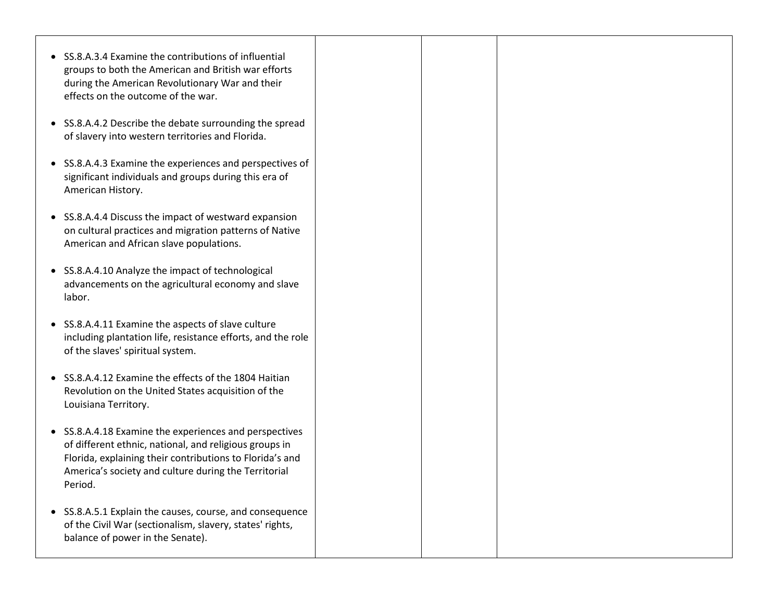| • SS.8.A.4.3 Examine the experiences and perspectives of |  |
|----------------------------------------------------------|--|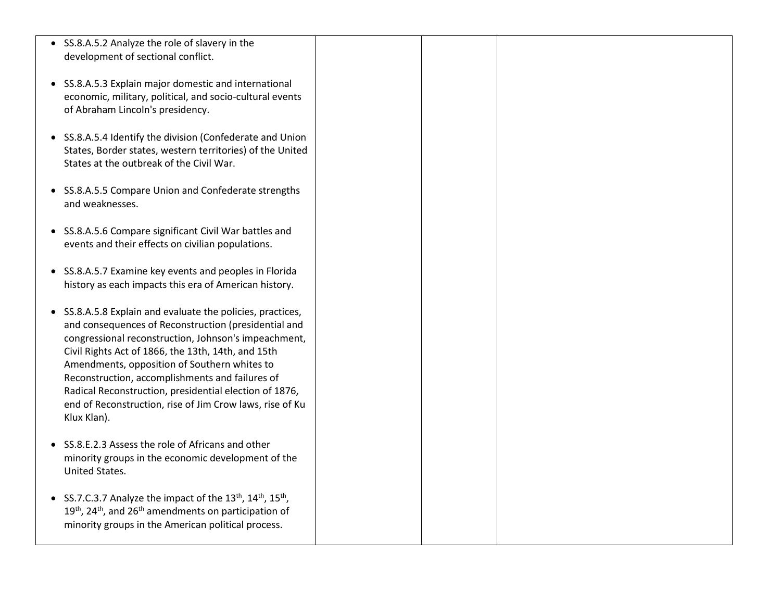| • SS.8.A.5.2 Analyze the role of slavery in the<br>development of sectional conflict.                                                                                                                                                                                                                                                                                                                                                                                    |  |  |
|--------------------------------------------------------------------------------------------------------------------------------------------------------------------------------------------------------------------------------------------------------------------------------------------------------------------------------------------------------------------------------------------------------------------------------------------------------------------------|--|--|
| • SS.8.A.5.3 Explain major domestic and international<br>economic, military, political, and socio-cultural events<br>of Abraham Lincoln's presidency.                                                                                                                                                                                                                                                                                                                    |  |  |
| • SS.8.A.5.4 Identify the division (Confederate and Union<br>States, Border states, western territories) of the United<br>States at the outbreak of the Civil War.                                                                                                                                                                                                                                                                                                       |  |  |
| • SS.8.A.5.5 Compare Union and Confederate strengths<br>and weaknesses.                                                                                                                                                                                                                                                                                                                                                                                                  |  |  |
| • SS.8.A.5.6 Compare significant Civil War battles and<br>events and their effects on civilian populations.                                                                                                                                                                                                                                                                                                                                                              |  |  |
| • SS.8.A.5.7 Examine key events and peoples in Florida<br>history as each impacts this era of American history.                                                                                                                                                                                                                                                                                                                                                          |  |  |
| • SS.8.A.5.8 Explain and evaluate the policies, practices,<br>and consequences of Reconstruction (presidential and<br>congressional reconstruction, Johnson's impeachment,<br>Civil Rights Act of 1866, the 13th, 14th, and 15th<br>Amendments, opposition of Southern whites to<br>Reconstruction, accomplishments and failures of<br>Radical Reconstruction, presidential election of 1876,<br>end of Reconstruction, rise of Jim Crow laws, rise of Ku<br>Klux Klan). |  |  |
| • SS.8.E.2.3 Assess the role of Africans and other<br>minority groups in the economic development of the<br>United States.                                                                                                                                                                                                                                                                                                                                               |  |  |
| • SS.7.C.3.7 Analyze the impact of the 13 <sup>th</sup> , 14 <sup>th</sup> , 15 <sup>th</sup> ,<br>19 <sup>th</sup> , 24 <sup>th</sup> , and 26 <sup>th</sup> amendments on participation of<br>minority groups in the American political process.                                                                                                                                                                                                                       |  |  |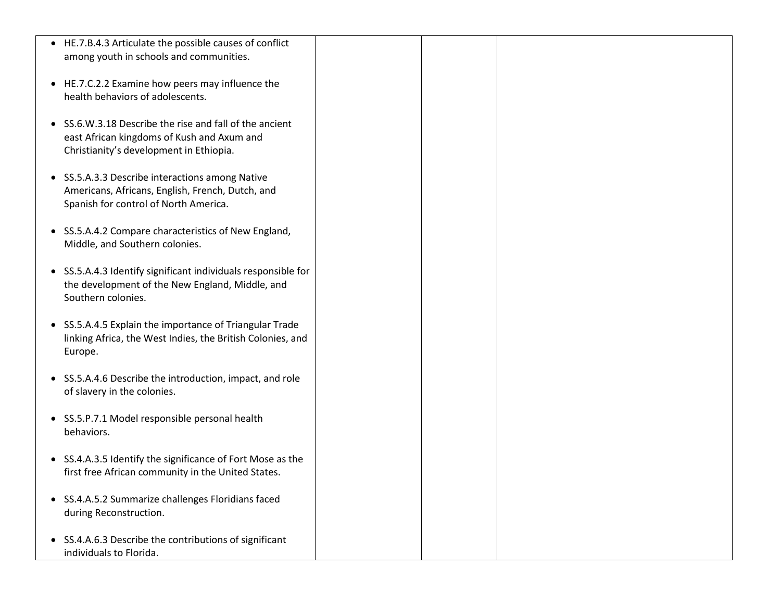| • HE.7.B.4.3 Articulate the possible causes of conflict       |  |  |
|---------------------------------------------------------------|--|--|
| among youth in schools and communities.                       |  |  |
|                                                               |  |  |
|                                                               |  |  |
| • HE.7.C.2.2 Examine how peers may influence the              |  |  |
| health behaviors of adolescents.                              |  |  |
|                                                               |  |  |
| • SS.6.W.3.18 Describe the rise and fall of the ancient       |  |  |
| east African kingdoms of Kush and Axum and                    |  |  |
|                                                               |  |  |
| Christianity's development in Ethiopia.                       |  |  |
|                                                               |  |  |
| • SS.5.A.3.3 Describe interactions among Native               |  |  |
| Americans, Africans, English, French, Dutch, and              |  |  |
| Spanish for control of North America.                         |  |  |
|                                                               |  |  |
|                                                               |  |  |
| • SS.5.A.4.2 Compare characteristics of New England,          |  |  |
| Middle, and Southern colonies.                                |  |  |
|                                                               |  |  |
| • SS.5.A.4.3 Identify significant individuals responsible for |  |  |
| the development of the New England, Middle, and               |  |  |
|                                                               |  |  |
| Southern colonies.                                            |  |  |
|                                                               |  |  |
| • SS.5.A.4.5 Explain the importance of Triangular Trade       |  |  |
| linking Africa, the West Indies, the British Colonies, and    |  |  |
| Europe.                                                       |  |  |
|                                                               |  |  |
|                                                               |  |  |
| • SS.5.A.4.6 Describe the introduction, impact, and role      |  |  |
| of slavery in the colonies.                                   |  |  |
|                                                               |  |  |
| • SS.5.P.7.1 Model responsible personal health                |  |  |
| behaviors.                                                    |  |  |
|                                                               |  |  |
|                                                               |  |  |
| • SS.4.A.3.5 Identify the significance of Fort Mose as the    |  |  |
| first free African community in the United States.            |  |  |
|                                                               |  |  |
| • SS.4.A.5.2 Summarize challenges Floridians faced            |  |  |
| during Reconstruction.                                        |  |  |
|                                                               |  |  |
|                                                               |  |  |
| • SS.4.A.6.3 Describe the contributions of significant        |  |  |
| individuals to Florida.                                       |  |  |